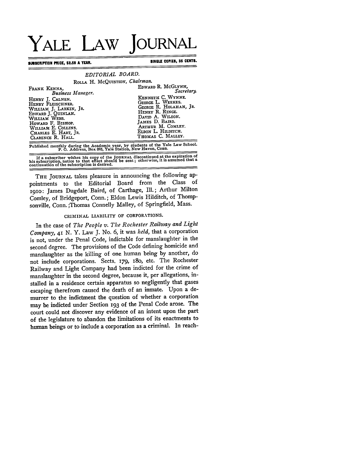# YALE LAW **JOURNAL**

# **SUBSCRIPTION PRICE, \$250 A YEAR. SINGLE COPIES, 35 CENTS.**

| EDITORIAL BOARD.                                                                                                                                                                                                                                                       |                                                                                                                                                                                                                                |
|------------------------------------------------------------------------------------------------------------------------------------------------------------------------------------------------------------------------------------------------------------------------|--------------------------------------------------------------------------------------------------------------------------------------------------------------------------------------------------------------------------------|
| ROLLA H. McQUISTION, Chairman.<br>FRANK KENNA,<br>Business Manager.<br>HENRY J. CALNEN.<br>HENRY FLEISCHNER.<br>WILLIAM J. LARKIN, JR.<br>EDWARD J. QUINLAN.<br>WILLIAM WEBB.<br>HOWARD F. BISHOP.<br>WILLIAM E. COLLINS.<br>CHARLES E. HART, JR.<br>CLARENCE R. HALL. | EDWARD R. MCGLYNN,<br>Secretary.<br>KENNETH C. WYNNE.<br>GEORGE L. WEEKES.<br>GEORGE R. HOLAHAN, JR.<br>HENRY R. RINGE.<br>DAVID A. WILSON.<br>JAMES D. BAIRD.<br>ARTHUR M. COMLEY.<br>ELDON L. HILDITCH.<br>THOMAS C. MALLEY. |
| Published monthly during the Academic year, by students of the Yale Law School.<br>P. O. Address, Box 893, Yale Station, New Haven, Conn.                                                                                                                              |                                                                                                                                                                                                                                |

If a subscriber wishes his copy of the JOURNAL discontinued at the expiration of<br>his subscription, notice to that effect should be sent; otherwise, it is assumed that a<br>continuation of the subscription is desired.

**THE JOURNAL** takes pleasure in announcing the following appointments to the Editorial Board from the Class of igio: James Dugdale Baird, of Carthage, Ill.; Arthur Milton Comley, of Bridgeport, Conn.; Eldon Lewis Hilditch, of Thompsonville, Conn. ;Thomas Connelly Malley, of Springfield, Mass.

# CRIMINAL **LIABILITY OF** CORPORATIONS.

In the case of *The People v. The Rochester Railway and Light Company 41* N. Y. Law J. No. 6, it was *held,* that a corporation is not, under the Penal Code, indictable for manslaughter in the second degree. The provisions of the Code defining homicide and manslaughter as the killing of one human being by another, do not include corporations. Sects. 179, i8o, etc. The Rochester Railway and Light Company had been indicted for the crime of manslaughter in the second degree, because it, per allegations, installed in a residence certain apparatus so negligently that gases escaping therefrom caused the death of an inmate. Upon a demurrer to the indictment the question of whether a corporation may be indicted under Section **193** of the Penal Code arose. The court could not discover any evidence of an intent upon the part of the legislature to abandon the limitations of its enactments to human beings or to include a corporation as a criminal. In reach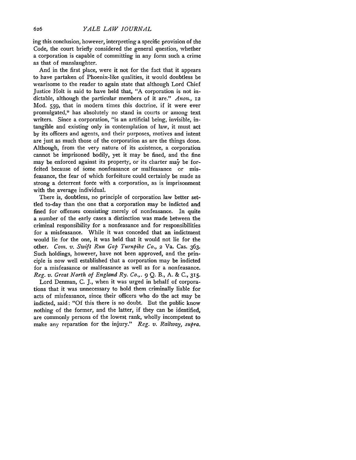ing this conclusion, however, interpreting a specific provision of the Code, the court briefly considered the general question, whether a corporation is capable of committing in any form such a crime as that of manslaughter.

And in the first place, were it not for the fact that it appears to have partaken of Phoenix-like qualities, it would doubtless be wearisome to the reader to again state that although Lord Chief Justice Holt is said to have held that, "A corporation is not indictable, although the particular members of it are." *Anon.,* **12** Mod. 559, that in modern times this doctrine, if it were ever promulgated,\* has absolutely no stand in courts or among text writers. Since a corporation, "is an artificial being, invisible, intangible and existing only in contemplation of law, it must act by its officers and agents, and their purposes, motives and intent are just as much those of the corporation as are the things done. Although, from the very nature of its existence, a corporation cannot be imprisoned bodily, yet it may be fined, and the fine may be enforced against its property, or its charter may be forfeited because of some nonfeasance or malfeasance or misfeasance, the fear of which forfeiture could certainly be made as strong a deterrent force with a corporation, as is imprisonment with the average individual.

There is, doubtless, no principle of corporation law better settled to-day than the one that a corporation may be indicted and fined for offenses consisting merely of nonfeasance. In quite a number of the early cases a distinction was made between the criminal responsibility for a nonfeasance and for responsibilities for a misfeasance. While it was conceded that an indictment would lie for the one, it was held that it would not lie for the other. *Cont. v. Swift Run Gap Turnpike Co.,* 2 Va. Cas. 363. Such holdings, however, have not been approved, and the principle is now well established that a corporation may be indicted for a misfeasance or malfeasance as well as for a nonfeasance. *Reg. v. Great North of England Ry. Co.,. 9* **Q.** B., A. & C., **315.**

Lord Denman, C. J., when it was urged in behalf of corporations that it was unnecessary to hold them criminally liable for acts of misfeasance, since their officers who do the act may be indicted, said: "Of this there is no doubt. But the public know nothing of the former, and the latter, if they can be identified, are commonly persons of the lowest rank, wholly incompetent to make any reparation for the injury." *Reg. v. Railway, supra.*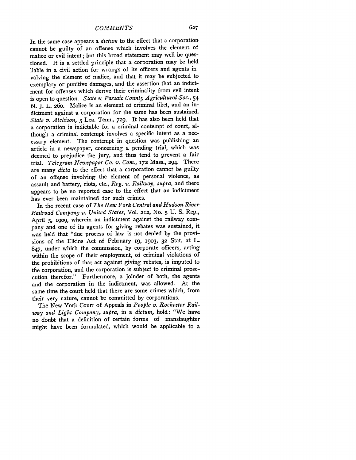In the same case appears a *dictum* to the effect that a corporation cannot be guilty of an offense which involves the element of malice or evil intent; but this broad statement may well be questioned. It is a settled principle that a corporation may be held liable in a civil action for wrongs of its officers and agents involving the element of malice, and that it may be subjected to exemplary or punitive damages, and the assertion that an indictment for offenses which derive their criminality from evil intent is open to question. *State v. Passaic County Agricultural Soc., 54* N. J. L. 26o. Malice is an element of criminal libel, and an indictment against a corporation for the same has been sustained. *State v. Atchison,* **3** Lea. Tenn., **729.** It has also been held that a corporation is indictable for a criminal contempt of court, although a criminal contempt involves a specific intent as a necessary element. The contempt in question was publishing an article in a newspaper, concerning a pending trial, which was deemed to prejudice the jury, and thus tend to prevent a fair trial. *Telegram Newspaper Co. v. Com.,* 172 Mass., 294. There are many *dicta* to the effect that a corporation cannot be guilty of an offense involving the element of personal violence, as assault and battery, riots, etc., *Reg. v. Railway, supra,* and there appears to be no reported case to the effect that an indictment has ever been maintained for such crimes.

In the recent case of *The New York Central and Hudson River Railroad Company v. United States,* Vol. 212, No. 5 U. S. Rep., April 5, 1909, wherein an indictment against the railway company and one of its agents for giving rebates was sustained, it was held that "due process of law is not denied by the provisions of the Elkins Act of February **19, 1903, 32** Stat. at L. 847, under which the commission, by corporate officers, acting within the scope of their employment, of criminal violations of the prohibitions of that act against giving rebates, is imputed to tie corporation, and the corporation is subject to criminal prosecution therefor." Furthermore, a joinder of both, the agents and the corporation in the indictment, was allowed. At the same time the court held that there are some crimes which, from their very nature, cannot be committed by corporations.

The New York Court of Appeals in *People v. Rochester Railway and Light Company, supra,* in a *dictum*, hold: "We have no doubt that a definition of certain forms of manslaughter might have been formulated, which would be applicable to a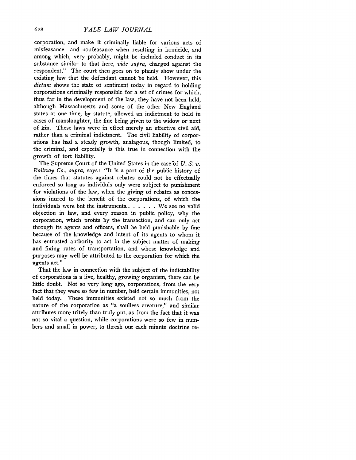corporation, and make it criminally liable for various acts of misfeasance and nonfeasance when resulting in homicide, and among which, very probably, might be included conduct in its substance similar to that here, *vide supra,* charged against the respondent." The court then goes on to plainly show under the existing law that the defendant cannot be held. However, this *dictum* shows the state of sentiment today in regard to holding corporations criminally responsible for a set of crimes for which, thus far in the development of the law, they have not been held, although Massachusetts and some of the other New England states at one time, by statute, allowed an indictment to hold in cases of manslaughter, the fine being given to the widow or next of kin. These laws were in effect merely an effective civil aid, rather than a criminal indictment. The civil liability of corporations has had a steady growth, analagous, though limited, to the criminal, and especially is this true in connection with the growth of tort liability.

The Supreme Court of the United States in the case bf *U. S. v. Railway Co., supra,* says: "It is a part of the public history of the times that statutes against rebates could not be effectually enforced so long as individuls only were subject to punishment for violations of the law, when the giving of rebates as concessions inured to the benefit of the corporations, of which the individuals were but the instruments ....... **.We** see no valid objection in law, and every reason in public policy, why the corporation, which profits by the transaction, and can only act through its agents and officers, shall be held punishable by fine because of the knowledge and intent of its agents to whom it has entrusted authority to act in the subject matter of making and fixing rates of transportation, and whose knowledge and purposes may well be attributed to the corporation for which the agents act."

That the law in connection with the subject of the indictability of corporations is a live, healthy, growing organism, there can be little doubt. Not so very long ago, corporations, from the very fact that they were so few in number, held certain immunities, not held today. These immunities existed not so much from the nature of the corporation as "a soulless creature," and similar attributes more tritely than truly put, as from the fact that it was not so vital a question, while corporations were so few in numbers and small in power, to thresh out each minute doctrine re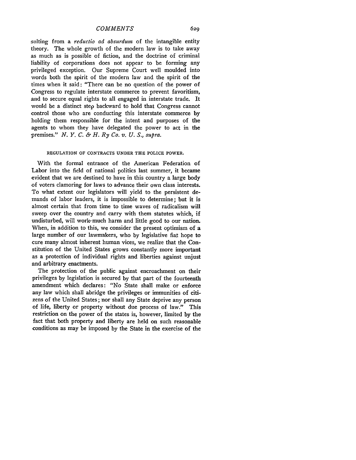*COMMENTS*

suiting from a *reductio ad absurdum* of the intangible entity theory. The whole growth of the modern law is to take away as much as is possible of fiction, and the doctrine of criminal liability of corporations does not appear to be forming any privileged exception. Our Supreme Court well moulded into words both the spirit of the modern law and the spirit of the times when it said: "There can be no question of the power of Congress to regulate interstate commerce to prevent favoritism, and to secure equal rights to all engaged in interstate trade. It would be a distinct step backward to hold that Congress cannot control those who are conducting this interstate commerce **by** holding them responsible for the intent and purposes of the agents to whom they have delegated the power to act in the premises." *N. Y. C. & H. Ry Co. v. U. S., supra.*

#### **REGULATION** OF **CONTRACTS UNDER THE POLICE** POWER.

With the formal entrance of the American Federation of Labor into the field of national politics last summer, it became evident that we are destined to have in this country a large body of voters clamoring for laws to advance their own class interests. To what extent our legislators will yield to the persistent demands of labor leaders, it is impossible to determine; but it is almost certain that from time to time waves of radicalism will sweep over the country and carry with them statutes which, if undisturbed, will work-much harm and little good to our nation. When, in addition to this, we consider the present optimism of a large number of our lawmakers, who by legislative fiat hope to cure many almost inherent human vices, we realize that the Constitution of the United States grows constantly more important as a protection of individual rights and liberties against unjust and arbitrary enactments.

The protection of the public against encroachment on their privileges by legislation is secured by that part of the fourteenth amendment which declares: "No State shall make or enforce any law which shall abridge the privileges or immunities of citizens of the United States; nor shall any State deprive any person of life, liberty or property without due process of law." This restriction on the power of the states is, however, limited by the fact that both property and liberty are held on such reasonable conditions as may be imposed by the State in the exercise of the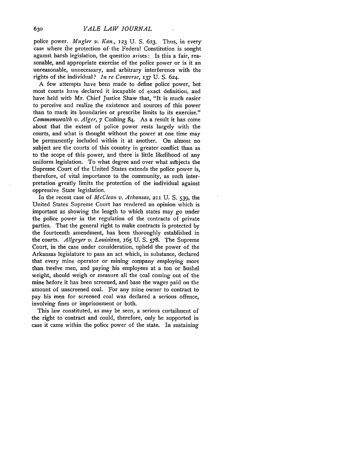police power. *Mugler v. Kan.,* 123 U. S. 623. Thus, in every case where the protection of-the Federal Constitution is sought against harsh legislation, the question arises: Is this a fair, reasonable, and appropriate exercise of the police power or is it an unreasonable, unnecessary, and arbitrary interference with the rights of the individual? *In re Converse,* **137** U. S. 624.

A few attempts have been made to define police power, but most courts have declared it incapable of exact definition, and have held with Mr. Chief Justice Shaw that, "It is much easier to perceive and realize the existence and sources of this power than to mark its boundaries or prescribe limits to its exercise." *Commonwealth v. Alger,* 7 Cushing 84. As a result it has come about that the extent of police power rests largely with the courts, and what is thought without the power at one time may be permanently included within it at another. On almost no subject are the courts of this country in greater conflict than as to the scope of this power, and there is little likelihood of any uniform legislation. To what degree and over what subjects the Supreme Court of the United States extends the police power is, therefore, of vital importance to the community, as such interpretation greatly limits the protection of the individual against oppressive State legislation.

In the recent case of *McClean v. Arkansas,* **211** U. S. 539, the United States Supreme Court has rendered an opinion which is important as showing the length to which states may go under the police power in the regulation of the contracts of private parties. That the general right to make contracts is protected by the fourteenth amendment, has been thoroughly established in the courts. *Allgeyer v. Louisiana,* **165 U. S.** 578. The Supreme Court, in the case under consideration, upheld the power of the Arkansas legislature to pass an act which, in substance, declared that every mine operator or mining company employing more than twelve men, and paying his employees at a ton or bushel weight, should weigh or measure all the coal coming out of the mine before it has been screened, and base the wages paid on the amount of unscreened coal. For any mine owner to contract to pay his men for screened coal was declared a serious offence, involving fines or imprisonment or both.

This law constituted, as may be seen, a serious curtailment of the right to contract and could, therefore, only be supported in case it came within the police power of the state. In sustaining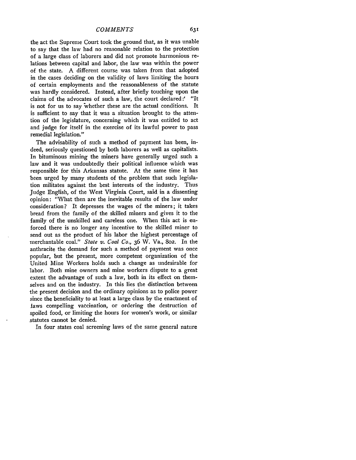*COMMENTS*

the act the Supreme Court took the ground that, as it was unable to say that the law had no reasonable relation to the protection of a large class of laborers and did not promote harmonious relations between capital and labor, the law was within the power of the state. A different course was taken from that adopted in the cases deciding on the validity of laws limiting the hours of certain employments and the reasonableness of the statute was hardly considered. Instead, after briefly touching upon the claims of the advocates of such a law, the court declared:' "It is not for us to say vhether these are the actual conditions. It is sufficient to say that it was a situation brought to the attention of the legislature, concerning which it was entitled to act and judge for itself in the exercise of its lawful power to pass remedial legislation."

The advisability of such a method of payment has been, indeed, seriously questioned by both laborers as well as capitalists. In bituminous mining the miners have generally urged such a law and it was undoubtedly their political influence which was responsible for this Arkansas statute. At the same time it has been urged by many students of the problem that such legislation militates against the best interests of the industry. Thus Judge English, of the West Virginia Court, said in a dissenting opinion: "What then are the inevitable results of the law under consideration? It depresses the wages of the miners; it takes bread from the family of the skilled miners and gives it to the family of the unskilled and careless one. When this act is enforced there is no longer any incentive to the skilled miner to send out as the product of his labor the highest percentage of merchantable coal." *State v. Coal Co.,* 36 W. Va., **802.** In the anthracite the demand for such a method of payment was once popular, but the present, more competent organization of the United Mine Workers holds such a change as undesirable for labor. Both mine owners and mine workers dispute to a great extent the advantage of such a law, both in its effect on themselves and on the industry. In this lies the distinction between the present decision and the ordinary opinions as to police power since the beneficiality to at least a large class by the enactment of laws compelling vaccination, or ordering the destruction of spoiled food, or limiting the hours for women's work, or similar statutes cannot be denied.

In four states coal screening laws of the same general nature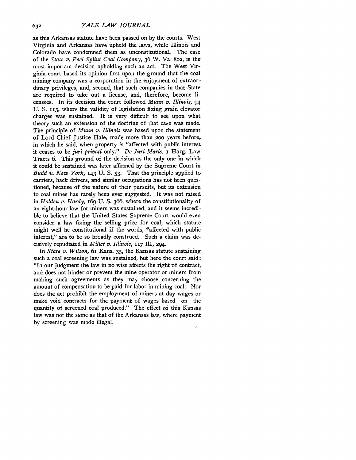as this Arkansas statute have been passed on by the courts. West Virginia and Arkansas have upheld the laws, while Illinois and Colorado have condemned them as unconstitutional. The case of the *State v. Peel Splint Coal Company,* **36** W. Va. **802,** is the most important decision upholding such an act. The West Virginia court based its opinion first upon the ground that the coal mining company was a corporation in the enjoyment of extraordinary privileges, and, second, that such companies in that State are required to take out a license, and, therefore, become licensees. In ifs decision the court followed *Munn v. Illinois, 94* U. S. **113,** where the validity of legislation fixing grain elevator charges was sustained. It is very difficult to see upon what theory such an extension of the doctrine of that case was made. The principle of *Munn v. Illinois* was based upon the statement of Lord Chief Justice Hale, made more than 200 years before, in which he said, when property is "affected with public interest it ceases to be juri privati only." *De* Juri *Maris,* i Harg. Law Tracts 6. This ground of the decision as the only one in which it could be sustained was later affirmed by the Supreme Court in *Budd v. New York,* 143 U. S. 53. That the principle applied to carriers, hack drivers, and similar occupations has not been questioned, because of the nature of their pursuits, but its extension to coal mines has rarely been ever suggested. It was not raised in *Holden v. Hardy,* 169 U. S. 366, where the constitutionality of an eight-hour law for miners was sustained, and it seems incredible to believe that the United States Supreme Court would even consider a law fixing the selling price for coal, which statute might well be constitutional if the words, "affected with public interest," are to be so broadly construed. Such a claim was decisively repudiated in *Millet* v. *Illinois,* **117** Ill., 294.

In *State v. Wilson,* 61 Kans. 35, the Kansas statute sustaining such a coal screening law was sustained, but here the court said: "In our judgment the law in no wise affects the right of contract, and does not hinder or prevent the mine operator or miners from making such agreements as they may choose concerning the amount of compensation to be paid for labor in mining coal. Nor does the act prohibit the employment of miners at day wages or make void contracts for the payment of wages based on the quantity of screened coal produced." The effect of this Kansas law was not the same as that of the Arkansas law, where payment by screening was made illegal.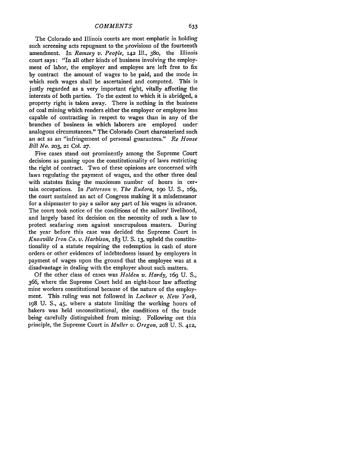The Colorado and Illinois courts are most emphatic in holding such screening acts repugnant to the provisions of the fourteenth amendment. In *Ramsey v. People,* **142** Ill., 380, the Illinois court says: "In all other kinds of business involving the employment of labor, the employer and employee are left free to fix by contract the amount of wages to be paid, and the mode in which such wages shall be ascertained and computed. This is justly regarded as a very important right, vitally affecting the interests of both parties. To the extent to which it is abridged, a property right is taken away. There is nothing in the business of coal mining which renders either the employer or employee less capable of contracting in respect to wages than in any of the branches of business in which laborers are employed under analogous circumstances." The Colorado Court charcaterized such an act as an "infringement of personal guarantees." *Re House Bill No.* **203, 21** Col. **27.**

Five cases stand out prominently among the Supreme Court decisions as passing upon the constitutionality of laws restricting the right of contract. Two of these opinions are concerned with laws regulating the payment of wages, and the other three deal with statutes fixing the maximum number of hours in certain occupations. In *Patterson v. The Eudora,* i9o U. *S.,* i69, the court sustained an act of Congress making it a misdemeanor for a shipmaster to pay a sailor any part of his wages in advance. The court took notice of the conditions of the sailors' livelihood, and largely based its decision on the necessity of such a law to protect seafaring men against unscrupulous masters. During the year before this case was decided the Supreme Court in *Knoxville Iron Co. v. Harbison,* **183** U. **S.** 13, upheld the constitutionality of a statute requiring the redemption in cash of store orders or other evidences of indebtedness issued by employers in payment of wages upon the ground that the employee was at a disadvantage in dealing with the employer about such matters.

**Of** the other class of cases was *Holden v. Hardy, i69* U. S., 366, where the Supreme Court held an eight-hour law affecting mine workers constitutional because of the nature of the employment. This ruling was not followed in *Lochner v. New York,* **198** U. **S.,** 45, where a statute limiting the working hours of bakers was held unconstitutional, the conditions of the trade being carefully distinguished from mining. Following out this principle, the Supreme Court in *Muller v. Oregon,* **2o8** U. S. 412,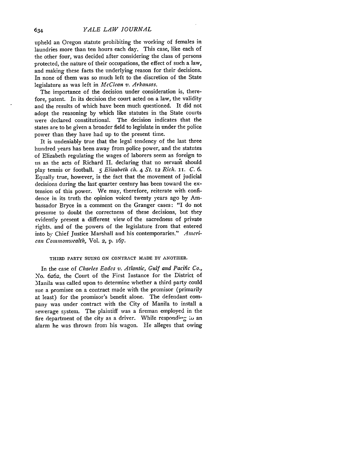upheld an Oregon statute prohibiting the working of females in laundries more than ten hours each day. This case, like each of the other four, was decided after considering the class of persons protected, the nature of their occupations, the effect of such a law, and making these facts the underlying reason for their decisions. In none of them was so much left to the discretion of the State legislature as was left in *McClean v. Arkansas.*

The importance of the decision under consideration is, therefore, patent. In its decision the court acted on a law, the validity and the results of which have been much questioned. It did not adopt the reasoning by which like statutes in the State courts were declared constitutional. The decision indicates that the states are to be given a broader field to legislate in under the police power than they have had up to the present time.

It is undeniably true that the legal tendency of the last three hundred years has been away from police power, and the statutes of Elizabeth regulating the wages of laborers seem as foreign to us as the acts of Richard II. declaring that no servant should play tennis or football. *5 Elizabeth ch. 4 St.* **12** *Rich. I I. C. 6.* Equally true, however, is the fact that the movement of judicial decisions during the last quarter century has been toward the extension of this power. We may, therefore, reiterate with confidence in its truth the opinion voiced twenty years ago by Ambassador Bryce in a comment on the Granger cases: "I do not presume to doubt the correctness of these decisions, but they evidently present a different view of the sacredness of private rights, and of the powers of the legislature from that entered into by Chief Justice Marshall and his contemporaries." Ameri*can Commonwealth,* Vol. 2, p. 167.

## THIRD PARTY **SUING ON** CONTRACT **MADE** BY ANOTHER.

In the case of *Charles Eades v. Atlantic, Gulf and Pacific Co.,* No. 6262, the Court of the First Instance for the District of Manila was called upon to determine whether a third party could sue a promisee on-a contract made with the promisor (primarily at least) for the promisor's benefit alone. The defendant company was under contract with the City of Manila to install a sewerage system. The plaintiff was a fireman employed in the fire department of the city as a driver. While responding to an alarm he was thrown from his wagon. He alleges that owing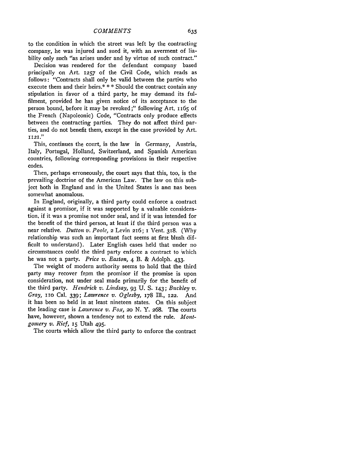to the condition in which the street was left by the contracting company, he was injured and sued it, with an averment of liability only such "as arises under and by virtue of such contract."

Decision was rendered for the defendant company based principally on Art. 1257 of the Civil Code, which reads as follows: "Contracts shall only be valid between the parties who execute them and their heirs.\* **\* \*** Should the contract contain any stipulation in favor of a third party, he may demand its fulfilment, provided he has given notice of its acceptance to the person bound, before it may be revoked ;" following Art. 1165 of the French (Napoleonic) Code, "Contracts only produce effects between the contracting parties. They do not affect third parties, and do not benefit them, except in the case provided by Art. I2I."

This, continues the court, is the law in Germany, Austria, Italy, Portugal, Holland, Switzerland, and Spanish American countries, following corresponding provisions in their respective codes.

Then, perhaps erroneously, the court says that this, too, is the prevailing. doctrine of the American Law. The law on this subject both in England and in the United States is and nas been somewhat anomalous.

In England, originally, a third party could enforce a contract against a promisor, if it was supported by a valuable consideration, if it was a promise not under seal, and if it was intended for the benefit of the third person, at least if the third person was a near relative. *Dutton v. Poole,* 2 Levin 216; 1 Vent. 318. (Why relationship was such an important fact seems at first blush difficult to understand). Later English cases held that under no circumstances could the third party enforce a contract to which he was not a party. *Price v. Easton,* 4 B. & Adolph. 433.

The weight of modern authority seems to hold that the third party may recover from the promisor if the promise is upon consideration, not under seal made primarily for the benefit of the third party. *Hendrick v. Lindsay,* 93 U. **S.** 143; *Buckley v. Gray,* iio Cal. 339; *Lawrence v. Oglesby,* 178 Ill., 122. And it has been so held in at least nineteen states. On this subject the leading case is *Lawrence v. FoX, 20* N. Y. 268. The courts have, however, shown a tendency not to extend the rule. *Montgomnery v. Rief,* 15 Utah 495.

The courts which allow the third party to enforce the contract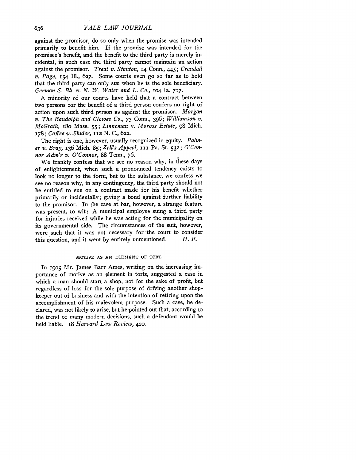against the promisor, do so only when the promise was intended primarily to benefit him. If the promise was intended for the promisee's benefit, and the benefit to the third party is merely incidental, in such case the third party cannot maintain an action against the promisor. *Treat v. Stanton,* **14** Conn., 445; *Crandall v. Page,* 154 Ill., 627. Some courts even go so far as to hold that the third party can only sue when he is the sole beneficiary. *German S. Bk. v. N. W. Water and L. Co.,* **1o4** la. 717.

A minority of our courts have held that a contract between two persons for the benefit of a third person confers no right of action upon such third person as against the promisor. *Morgan v. The Randolph and Clowes Co.,* 73 Conn., 396; *Williamson v. McGrath,* i8o Mass. 55; *Linneman v. Moross Estate,* 98 Mich. *178; Coffee v. Shuler, 112* N. C., **622.**

The right is one, however, usually recognized in equity. *Palmer v. Bray,* 136 Mich. 85; *Zell's Appeal,* **III** Pa. St. **532;** *O'Connor Adrn'r v. O'Connor,* 88 Tenn., 76.

We frankly confess that we see no reason why, in these days of enlightenment, when such a pronounced tendency exists to look no longer to the form, but to the substance, we confess we see no reason why, in any contingency, the third party should not be entitled to sue on a contract made for his benefit whether primarily or incidentally; giving a bond against further liability to the promisor. In the case at bar, however, a strange feature was present, to wit: A municipal employee suing a third party for injuries received while he was acting for the municipality on its governmental side. The circumstances of the suit, however, were such that it was not necessary for the court to consider this question, and it went by entirely unmentioned. *H. F.*

## MOTIVE **AS AN ELEMENT** OF TORT.

In 19o5 Mr. James Barr Ames, writing on the increasing importance of motive as an element in torts, suggested a case in which a man should start a shop, not for the sake of profit, but regardless of loss for the sole purpose of driving another shopkeeper out of business and with the intention of retiring upon the accomplishment of his malevolent purpose. Such a case, he declared, was not likely to arise, but he pointed out that, according to the trend of many modern decisions, such a defendant would be held liable. i8 *Harvard Law Review,* 420.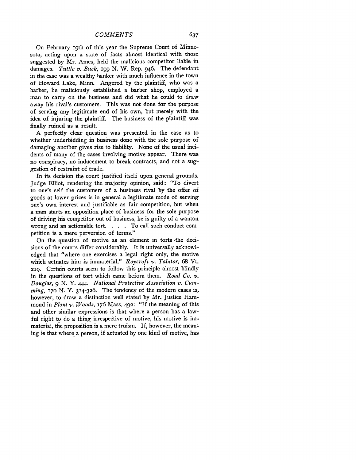On February 19th of this year the Supreme Court of Minnesota, acting upon a state of facts aimost identical with those suggested **by** Mr. Ames, held the malicious competitor liable in damages. *Tuttle v. Buck*, 199 N. W. Rep. 946. The defendant in the case **was** a wealthy hanker with much influence in the **town** of Howard Lake, Minn. Angered **by** the plaintiff, who was a barber, he maliciously established a barber shop, employed a man to carry on the business and did what he could to draw away his rival's customers. This was not done for the purpose of serving any legitimate end of his own, but merely with the idea of injuring the plaintiff. The business of the plaintiff was finally ruined as a result.

**A** perfectly clear question was presented in the case as to whether underbidding in business done with the sole purpose of damaging another gives rise to liability. None of the usual incidents of many of the cases involving motive appear. There was no conspiracy, no inducement to break contracts, and not a suggestion of restraint of trade.

In its decision the court justified itself upon general grounds. Judge Elliot, rendering the majority opinion, said: "To divert to one's self the customers of a business rival **by** the offer of goods at lower prices is in general a legitimate mode of serving one's own interest and justifiable as fair competition, but when a man starts an opposition place of business for the sole purpose of driving his competitor out of business, he is guilty of a wanton wrong and an actionable tort. **. . .** To call such conduct competition is a mere perversion of terms."

On the question of motive as an element in torts -the decisions of the courts differ considerably. It is universally acknowledged that "where one exercises a legal right only, the motive which actuates him is immaterial." *Roycroft v. Taintor, 68 Vt.* 219. Certain courts seem to follow this principle almost blindly in the questions of tort which came before them. *Road Co. v-Douglas, 9 N.* Y. *444. National Protective Association v. Cuntming, 17o* **N. Y.** 314-326. The tendency of the modern cases is, however, to draw a distinction well stated **by** Mr. Justice Hammond in *Plant v. Wqods,* **176** Mass. **492:** "If the meaning of this. and other similar expressions is that where a person has a lawful right to do a thing irrespective of motive, his motive is im. material, the proposition is a mere truism. If, however, the **mean**ing is that where a person, if actuated **by** one kind of motive, has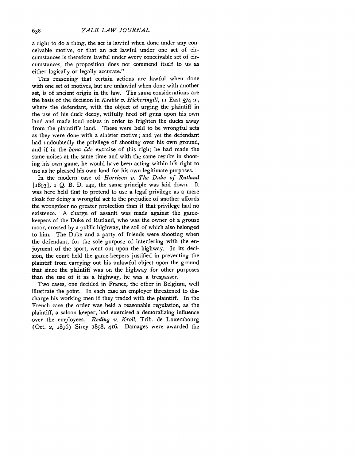a right to do a thing, the act is lawful when done under any conceivable motive, or that an act lawful under one set of circumstances is therefore lawful under every conceivable set of circumstances, the proposition does not commend itself to us as either logically or legally accurate."

This reasoning that certain actions are lawful when done with one set of motives, but are unlawful when done with another set, is of ancient origin in the law. The same considerations are the basis of **the** decision in *Keeble v. Hickeringill,* ii East 574 n., where the defendant, with the object of urging the plaintiff in the use of his duck decoy, wilfully fired off guns upon his own land and made loud noises in order to frighten the ducks away from the plaintiff's land. These were held to be wrongful acts as they were done with a sinister motive; and yet the defendant had undoubtedly the privilege of shooting over his own ground, and if in the *bona fide* exercise of this right he had made the same noises at the same time and with the same results in shooting his own game, he would have been acting within his right to use as he pleased his own land for his own legitimate purposes.

In the modern case of *Harrison v. The Duke of Rutland* [1893], **I Q.** B. **D.** 142, the same principle was laid down. It was here held that to pretend to use a legal privilege as a mere cloak for doing a wrongful act to the prejudice of another affords the wrongdoer no greater protection than if that privilege had no existence. A charge of assault was made against the gamekeepers of the Duke of Rutland, who was the owner of a grouse moor, crossed by a public highway, the soil of which also belonged to him. The Duke and a party of friends were shooting when the defendant, for the sole purpose of interfering with the enjoyment of the sport, went out upon the highway. In its decision, the court held the game-keepers justified in preventing the plaintiff from carrying out his unlawful object upon the ground that since the plaintiff was on the highway for other purposes than the use of it as a highway, he was a trespasser.

Two cases, one decided in France, the other in Belgium, well illustrate the point. In each case an employer threatened to discharge his working men if they traded with the plaintiff. In the French case the order was held a reasonable regulation, as the plaintiff, a saloon keeper, had exercised a demoralizing influence over the employees. *Reding v. Kroll,* Trib. de Luxembourg (Oct. 2, 1896) Sirey **1898,** 416. Damages were awarded the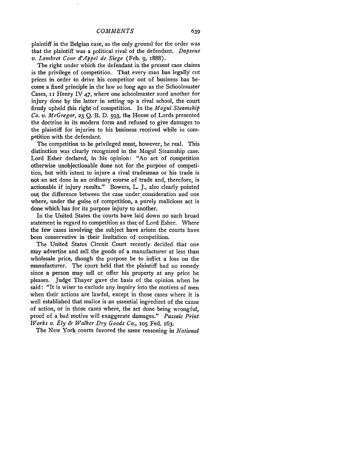plaintiff in the Belgian case, as the only ground for the order was that the plaintiff was a political rival of the defendant. *Dapsens v. Lambret Cour d'Appel de Siege* (Feb. 9, i888).

The right under which the defendant in the present case claims is the privilege of competition. That every man has legally cut prices in order to drive his competitor out of business has become a fixed principle in the law so long ago as the Schoolmaster Cases, ii Henry IV 47, where one schoolmaster sued another for injury done by the latter in setting up a rival school, the court firmly upheld this right of competition. In the *Mogul Steamship Co. v. McGregor,* **23** Q. B. D. 593, the House of Lords presented the doctrine in its modern form and refused to give damages to the plaintiff for injuries to his business received while in competition with the defendant.

The competition to be privileged must, however, be real. This distinction was clearly recognized in the Mogul Steamship case. Lord Esher declared, in his opinion: "An act of competition otherwise unobjectionable done not for the purpose of competition, but with intent to injure a rival tradesman or his trade is not an act done in an ordinary course of trade and, therefore, is actionable if injury results." Bowers, L. J., also clearly pointed out the difference between the case under consideration and one where, under the guise of competition, a purely malicious act is done which has for its purpose injury to another.

In the United States the courts have laid down no such broad statement in regard to competition as that of Lord Esher. Where the few cases involving the subject have arisen the courts have been conservative in their limitation of competition.

The United States Circuit Court recently decided that one may advertise and sell the goods of a manufacturer at less than wholesale price, though the purpose be to inflict a loss on the manufacturer. The court held that the plaintiff had no remedy since a person may sell or offer his property at any price he pleases. Judge Thayer gave the basis of the opinion when he said: "It is wiser to exclude any inquiry into the motives of men when their actions are lawful, except in those cases where it is well established that malice is an essential ingredient of the cause of action, or in those cases where, the act done being wrongful, proof of a bad motive will exaggerate damages." *Passaic Print Works v. Ely & Walker Dry Goods Co.,* **105** Fed. 163.

The New York courts favored the same reasoning in *National*